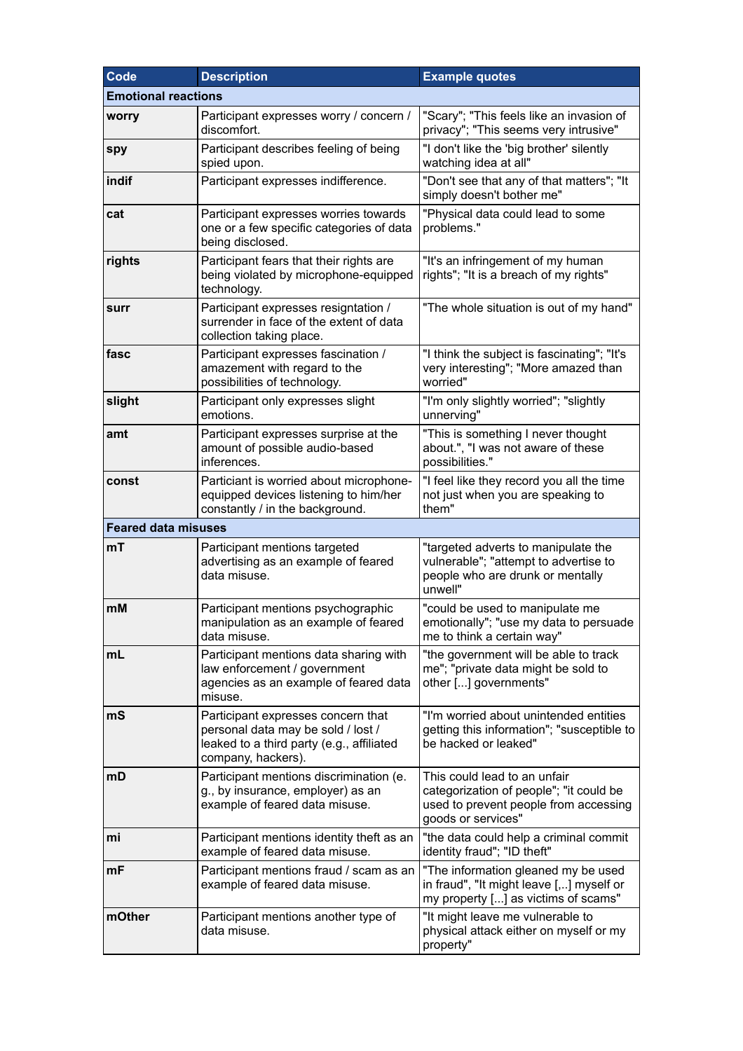| Code                       | <b>Description</b>                                                                                                                          | <b>Example quotes</b>                                                                                                                  |  |  |
|----------------------------|---------------------------------------------------------------------------------------------------------------------------------------------|----------------------------------------------------------------------------------------------------------------------------------------|--|--|
| <b>Emotional reactions</b> |                                                                                                                                             |                                                                                                                                        |  |  |
| worry                      | Participant expresses worry / concern /<br>discomfort.                                                                                      | "Scary"; "This feels like an invasion of<br>privacy"; "This seems very intrusive"                                                      |  |  |
| spy                        | Participant describes feeling of being<br>spied upon.                                                                                       | "I don't like the 'big brother' silently<br>watching idea at all"                                                                      |  |  |
| indif                      | Participant expresses indifference.                                                                                                         | "Don't see that any of that matters"; "It<br>simply doesn't bother me"                                                                 |  |  |
| cat                        | Participant expresses worries towards<br>one or a few specific categories of data<br>being disclosed.                                       | "Physical data could lead to some<br>problems."                                                                                        |  |  |
| rights                     | Participant fears that their rights are<br>being violated by microphone-equipped<br>technology.                                             | "It's an infringement of my human<br>rights"; "It is a breach of my rights"                                                            |  |  |
| surr                       | Participant expresses resigntation /<br>surrender in face of the extent of data<br>collection taking place.                                 | "The whole situation is out of my hand"                                                                                                |  |  |
| fasc                       | Participant expresses fascination /<br>amazement with regard to the<br>possibilities of technology.                                         | "I think the subject is fascinating"; "It's<br>very interesting"; "More amazed than<br>worried"                                        |  |  |
| slight                     | Participant only expresses slight<br>emotions.                                                                                              | "I'm only slightly worried"; "slightly<br>unnerving"                                                                                   |  |  |
| amt                        | Participant expresses surprise at the<br>amount of possible audio-based<br>inferences.                                                      | "This is something I never thought<br>about.", "I was not aware of these<br>possibilities."                                            |  |  |
| const                      | Particiant is worried about microphone-<br>equipped devices listening to him/her<br>constantly / in the background.                         | "I feel like they record you all the time<br>not just when you are speaking to<br>them"                                                |  |  |
| <b>Feared data misuses</b> |                                                                                                                                             |                                                                                                                                        |  |  |
| mT                         | Participant mentions targeted<br>advertising as an example of feared<br>data misuse.                                                        | "targeted adverts to manipulate the<br>vulnerable"; "attempt to advertise to<br>people who are drunk or mentally<br>unwell"            |  |  |
| mM                         | Participant mentions psychographic<br>manipulation as an example of feared<br>data misuse.                                                  | "could be used to manipulate me<br>emotionally"; "use my data to persuade<br>me to think a certain way"                                |  |  |
| mL                         | Participant mentions data sharing with<br>law enforcement / government<br>agencies as an example of feared data<br>misuse.                  | "the government will be able to track<br>me"; "private data might be sold to<br>other [] governments"                                  |  |  |
| mS                         | Participant expresses concern that<br>personal data may be sold / lost /<br>leaked to a third party (e.g., affiliated<br>company, hackers). | "I'm worried about unintended entities<br>getting this information"; "susceptible to<br>be hacked or leaked"                           |  |  |
| mD                         | Participant mentions discrimination (e.<br>g., by insurance, employer) as an<br>example of feared data misuse.                              | This could lead to an unfair<br>categorization of people"; "it could be<br>used to prevent people from accessing<br>goods or services" |  |  |
| mi                         | Participant mentions identity theft as an<br>example of feared data misuse.                                                                 | "the data could help a criminal commit<br>identity fraud"; "ID theft"                                                                  |  |  |
| mF                         | Participant mentions fraud / scam as an<br>example of feared data misuse.                                                                   | "The information gleaned my be used<br>in fraud", "It might leave [,] myself or<br>my property [] as victims of scams"                 |  |  |
| mOther                     | Participant mentions another type of<br>data misuse.                                                                                        | "It might leave me vulnerable to<br>physical attack either on myself or my<br>property"                                                |  |  |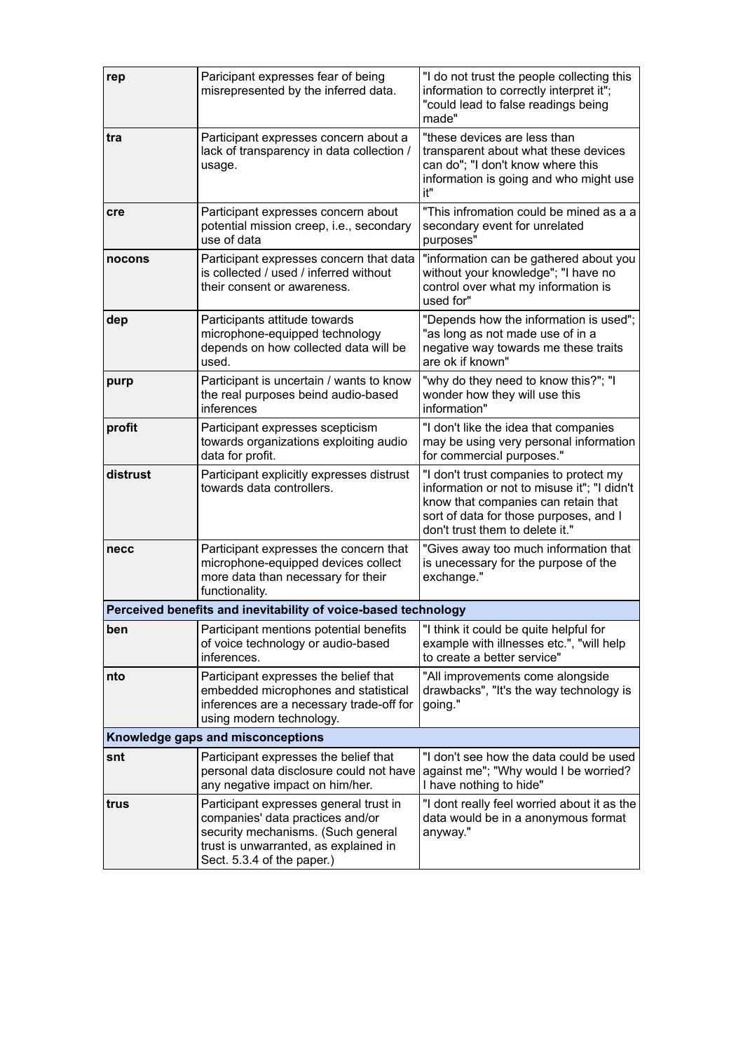| rep                               | Paricipant expresses fear of being<br>misrepresented by the inferred data.                                                                                                              | "I do not trust the people collecting this<br>information to correctly interpret it";<br>"could lead to false readings being<br>made"                                                                     |  |  |
|-----------------------------------|-----------------------------------------------------------------------------------------------------------------------------------------------------------------------------------------|-----------------------------------------------------------------------------------------------------------------------------------------------------------------------------------------------------------|--|--|
| tra                               | Participant expresses concern about a<br>lack of transparency in data collection /<br>usage.                                                                                            | "these devices are less than<br>transparent about what these devices<br>can do"; "I don't know where this<br>information is going and who might use<br>it"                                                |  |  |
| cre                               | Participant expresses concern about<br>potential mission creep, i.e., secondary<br>use of data                                                                                          | "This infromation could be mined as a a<br>secondary event for unrelated<br>purposes"                                                                                                                     |  |  |
| nocons                            | Participant expresses concern that data<br>is collected / used / inferred without<br>their consent or awareness.                                                                        | "information can be gathered about you<br>without your knowledge"; "I have no<br>control over what my information is<br>used for"                                                                         |  |  |
| dep                               | Participants attitude towards<br>microphone-equipped technology<br>depends on how collected data will be<br>used.                                                                       | "Depends how the information is used";<br>"as long as not made use of in a<br>negative way towards me these traits<br>are ok if known"                                                                    |  |  |
| purp                              | Participant is uncertain / wants to know<br>the real purposes beind audio-based<br>inferences                                                                                           | "why do they need to know this?"; "I<br>wonder how they will use this<br>information"                                                                                                                     |  |  |
| profit                            | Participant expresses scepticism<br>towards organizations exploiting audio<br>data for profit.                                                                                          | "I don't like the idea that companies<br>may be using very personal information<br>for commercial purposes."                                                                                              |  |  |
| distrust                          | Participant explicitly expresses distrust<br>towards data controllers.                                                                                                                  | "I don't trust companies to protect my<br>information or not to misuse it"; "I didn't<br>know that companies can retain that<br>sort of data for those purposes, and I<br>don't trust them to delete it." |  |  |
| necc                              | Participant expresses the concern that<br>microphone-equipped devices collect<br>more data than necessary for their<br>functionality.                                                   | "Gives away too much information that<br>is unecessary for the purpose of the<br>exchange."                                                                                                               |  |  |
|                                   | Perceived benefits and inevitability of voice-based technology                                                                                                                          |                                                                                                                                                                                                           |  |  |
| ben                               | Participant mentions potential benefits<br>of voice technology or audio-based<br>inferences.                                                                                            | "I think it could be quite helpful for<br>example with illnesses etc.", "will help<br>to create a better service"                                                                                         |  |  |
| nto                               | Participant expresses the belief that<br>embedded microphones and statistical<br>inferences are a necessary trade-off for<br>using modern technology.                                   | "All improvements come alongside<br>drawbacks", "It's the way technology is<br>going."                                                                                                                    |  |  |
| Knowledge gaps and misconceptions |                                                                                                                                                                                         |                                                                                                                                                                                                           |  |  |
| snt                               | Participant expresses the belief that<br>personal data disclosure could not have<br>any negative impact on him/her.                                                                     | "I don't see how the data could be used<br>against me"; "Why would I be worried?<br>I have nothing to hide"                                                                                               |  |  |
| trus                              | Participant expresses general trust in<br>companies' data practices and/or<br>security mechanisms. (Such general<br>trust is unwarranted, as explained in<br>Sect. 5.3.4 of the paper.) | "I dont really feel worried about it as the<br>data would be in a anonymous format<br>anyway."                                                                                                            |  |  |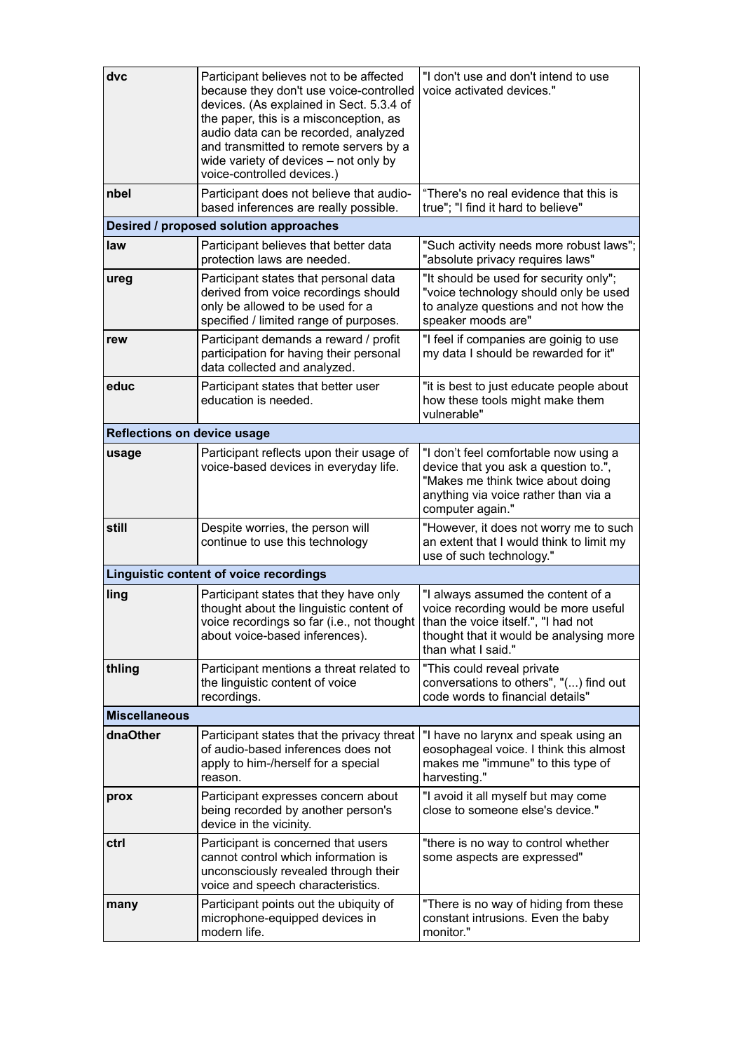| dvc                                | Participant believes not to be affected<br>because they don't use voice-controlled<br>devices. (As explained in Sect. 5.3.4 of<br>the paper, this is a misconception, as<br>audio data can be recorded, analyzed<br>and transmitted to remote servers by a<br>wide variety of devices - not only by<br>voice-controlled devices.) | "I don't use and don't intend to use<br>voice activated devices."                                                                                                                  |  |  |
|------------------------------------|-----------------------------------------------------------------------------------------------------------------------------------------------------------------------------------------------------------------------------------------------------------------------------------------------------------------------------------|------------------------------------------------------------------------------------------------------------------------------------------------------------------------------------|--|--|
| nbel                               | Participant does not believe that audio-<br>based inferences are really possible.                                                                                                                                                                                                                                                 | "There's no real evidence that this is<br>true"; "I find it hard to believe"                                                                                                       |  |  |
|                                    | Desired / proposed solution approaches                                                                                                                                                                                                                                                                                            |                                                                                                                                                                                    |  |  |
| law                                | Participant believes that better data<br>protection laws are needed.                                                                                                                                                                                                                                                              | "Such activity needs more robust laws";<br>"absolute privacy requires laws"                                                                                                        |  |  |
| ureg                               | Participant states that personal data<br>derived from voice recordings should<br>only be allowed to be used for a<br>specified / limited range of purposes.                                                                                                                                                                       | "It should be used for security only";<br>"voice technology should only be used<br>to analyze questions and not how the<br>speaker moods are"                                      |  |  |
| rew                                | Participant demands a reward / profit<br>participation for having their personal<br>data collected and analyzed.                                                                                                                                                                                                                  | "I feel if companies are goinig to use<br>my data I should be rewarded for it"                                                                                                     |  |  |
| educ                               | Participant states that better user<br>education is needed.                                                                                                                                                                                                                                                                       | "it is best to just educate people about<br>how these tools might make them<br>vulnerable"                                                                                         |  |  |
| <b>Reflections on device usage</b> |                                                                                                                                                                                                                                                                                                                                   |                                                                                                                                                                                    |  |  |
| usage                              | Participant reflects upon their usage of<br>voice-based devices in everyday life.                                                                                                                                                                                                                                                 | "I don't feel comfortable now using a<br>device that you ask a question to.",<br>"Makes me think twice about doing<br>anything via voice rather than via a<br>computer again."     |  |  |
| still                              | Despite worries, the person will<br>continue to use this technology                                                                                                                                                                                                                                                               | "However, it does not worry me to such<br>an extent that I would think to limit my<br>use of such technology."                                                                     |  |  |
|                                    | Linguistic content of voice recordings                                                                                                                                                                                                                                                                                            |                                                                                                                                                                                    |  |  |
| ling                               | Participant states that they have only<br>thought about the linguistic content of<br>voice recordings so far (i.e., not thought)<br>about voice-based inferences).                                                                                                                                                                | "I always assumed the content of a<br>voice recording would be more useful<br>than the voice itself.", "I had not<br>thought that it would be analysing more<br>than what I said." |  |  |
| thling                             | Participant mentions a threat related to<br>the linguistic content of voice<br>recordings.                                                                                                                                                                                                                                        | "This could reveal private<br>conversations to others", "() find out<br>code words to financial details"                                                                           |  |  |
| <b>Miscellaneous</b>               |                                                                                                                                                                                                                                                                                                                                   |                                                                                                                                                                                    |  |  |
| dnaOther                           | Participant states that the privacy threat<br>of audio-based inferences does not<br>apply to him-/herself for a special<br>reason.                                                                                                                                                                                                | "I have no larynx and speak using an<br>eosophageal voice. I think this almost<br>makes me "immune" to this type of<br>harvesting."                                                |  |  |
| prox                               | Participant expresses concern about<br>being recorded by another person's<br>device in the vicinity.                                                                                                                                                                                                                              | "I avoid it all myself but may come<br>close to someone else's device."                                                                                                            |  |  |
| ctrl                               | Participant is concerned that users<br>cannot control which information is<br>unconsciously revealed through their<br>voice and speech characteristics.                                                                                                                                                                           | "there is no way to control whether<br>some aspects are expressed"                                                                                                                 |  |  |
| many                               | Participant points out the ubiquity of<br>microphone-equipped devices in<br>modern life.                                                                                                                                                                                                                                          | "There is no way of hiding from these<br>constant intrusions. Even the baby<br>monitor."                                                                                           |  |  |